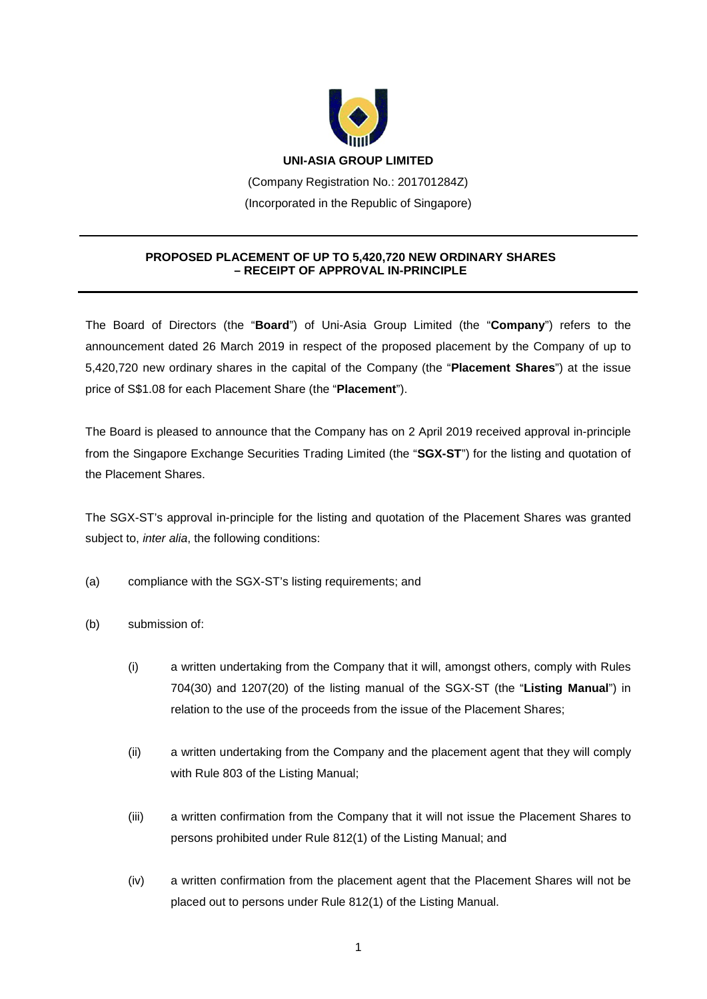

(Company Registration No.: 201701284Z) (Incorporated in the Republic of Singapore)

## **PROPOSED PLACEMENT OF UP TO 5,420,720 NEW ORDINARY SHARES – RECEIPT OF APPROVAL IN-PRINCIPLE**

The Board of Directors (the "**Board**") of Uni-Asia Group Limited (the "**Company**") refers to the announcement dated 26 March 2019 in respect of the proposed placement by the Company of up to 5,420,720 new ordinary shares in the capital of the Company (the "**Placement Shares**") at the issue price of S\$1.08 for each Placement Share (the "**Placement**").

The Board is pleased to announce that the Company has on 2 April 2019 received approval in-principle from the Singapore Exchange Securities Trading Limited (the "**SGX-ST**") for the listing and quotation of the Placement Shares.

The SGX-ST's approval in-principle for the listing and quotation of the Placement Shares was granted subject to, *inter alia*, the following conditions:

- (a) compliance with the SGX-ST's listing requirements; and
- (b) submission of:
	- (i) a written undertaking from the Company that it will, amongst others, comply with Rules 704(30) and 1207(20) of the listing manual of the SGX-ST (the "**Listing Manual**") in relation to the use of the proceeds from the issue of the Placement Shares;
	- (ii) a written undertaking from the Company and the placement agent that they will comply with Rule 803 of the Listing Manual;
	- (iii) a written confirmation from the Company that it will not issue the Placement Shares to persons prohibited under Rule 812(1) of the Listing Manual; and
	- (iv) a written confirmation from the placement agent that the Placement Shares will not be placed out to persons under Rule 812(1) of the Listing Manual.